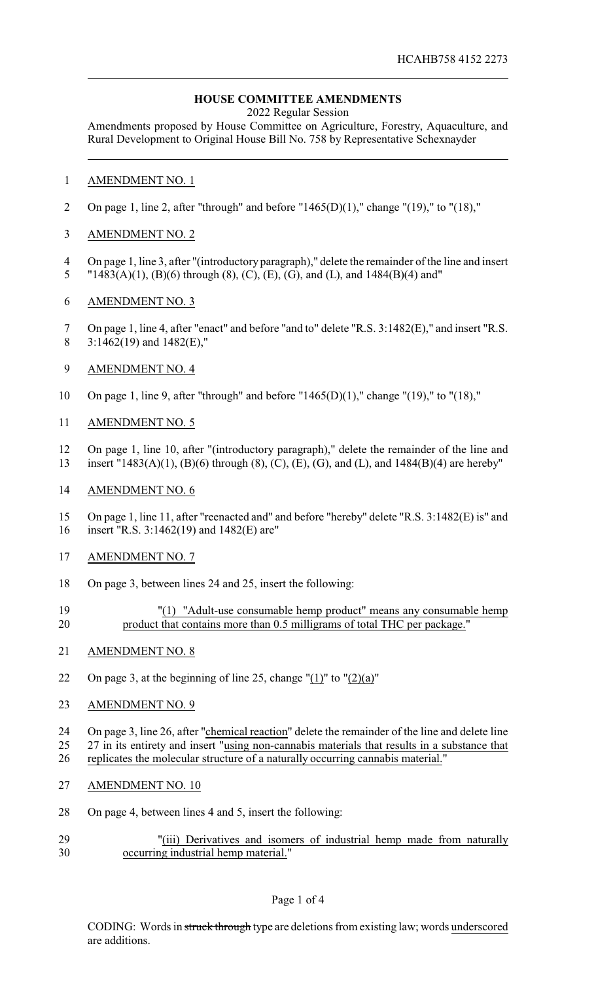## **HOUSE COMMITTEE AMENDMENTS**

2022 Regular Session

Amendments proposed by House Committee on Agriculture, Forestry, Aquaculture, and Rural Development to Original House Bill No. 758 by Representative Schexnayder

## AMENDMENT NO. 1

- 2 On page 1, line 2, after "through" and before "1465(D)(1)," change "(19)," to "(18),"
- AMENDMENT NO. 2
- On page 1, line 3, after "(introductory paragraph)," delete the remainder of the line and insert "1483(A)(1), (B)(6) through (8), (C), (E), (G), and (L), and 1484(B)(4) and"
- AMENDMENT NO. 3
- On page 1, line 4, after "enact" and before "and to" delete "R.S. 3:1482(E)," and insert "R.S. 8 3:1462(19) and  $1482(E)$ ,"
- AMENDMENT NO. 4
- On page 1, line 9, after "through" and before "1465(D)(1)," change "(19)," to "(18),"
- AMENDMENT NO. 5
- On page 1, line 10, after "(introductory paragraph)," delete the remainder of the line and
- insert "1483(A)(1), (B)(6) through (8), (C), (E), (G), and (L), and 1484(B)(4) are hereby"
- AMENDMENT NO. 6
- On page 1, line 11, after "reenacted and" and before "hereby" delete "R.S. 3:1482(E) is" and insert "R.S. 3:1462(19) and 1482(E) are"
- AMENDMENT NO. 7
- On page 3, between lines 24 and 25, insert the following:
- "(1) "Adult-use consumable hemp product" means any consumable hemp product that contains more than 0.5 milligrams of total THC per package."
- AMENDMENT NO. 8
- 22 On page 3, at the beginning of line 25, change " $(1)$ " to " $(2)(a)$ "
- AMENDMENT NO. 9
- On page 3, line 26, after "chemical reaction" delete the remainder of the line and delete line
- 27 in its entirety and insert "using non-cannabis materials that results in a substance that
- replicates the molecular structure of a naturally occurring cannabis material."
- AMENDMENT NO. 10
- On page 4, between lines 4 and 5, insert the following:
- "(iii) Derivatives and isomers of industrial hemp made from naturally occurring industrial hemp material."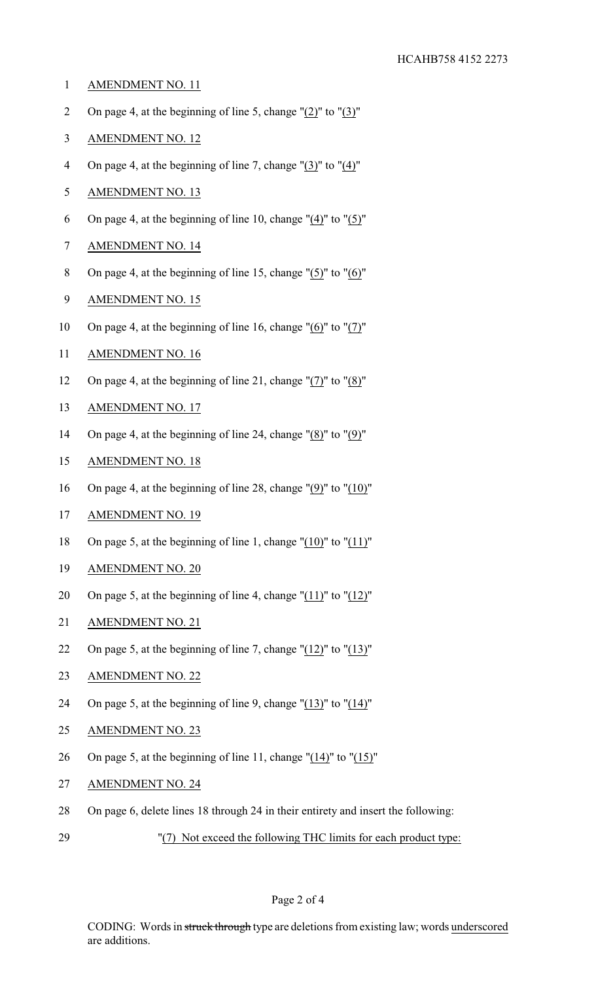- 1 AMENDMENT NO. 11
- 2 On page 4, at the beginning of line 5, change "(2)" to "(3)"
- 3 AMENDMENT NO. 12
- 4 On page 4, at the beginning of line 7, change  $\frac{1}{3}$  to  $\frac{1}{4}$ "
- 5 AMENDMENT NO. 13
- 6 On page 4, at the beginning of line 10, change  $"(\underline{4})"$  to  $"(\underline{5})"$
- 7 AMENDMENT NO. 14
- 8 On page 4, at the beginning of line 15, change "(5)" to "(6)"
- 9 AMENDMENT NO. 15
- 10 On page 4, at the beginning of line 16, change "(6)" to "(7)"
- 11 AMENDMENT NO. 16
- 12 On page 4, at the beginning of line 21, change " $(7)$ " to " $(8)$ "
- 13 AMENDMENT NO. 17
- 14 On page 4, at the beginning of line 24, change "(8)" to "(9)"
- 15 AMENDMENT NO. 18
- 16 On page 4, at the beginning of line 28, change " $(9)$ " to " $(10)$ "
- 17 AMENDMENT NO. 19
- 18 On page 5, at the beginning of line 1, change " $(10)$ " to " $(11)$ "
- 19 AMENDMENT NO. 20
- 20 On page 5, at the beginning of line 4, change "(11)" to "(12)"
- 21 AMENDMENT NO. 21
- 22 On page 5, at the beginning of line 7, change " $(12)$ " to " $(13)$ "
- 23 AMENDMENT NO. 22
- 24 On page 5, at the beginning of line 9, change " $(13)$ " to " $(14)$ "
- 25 AMENDMENT NO. 23
- 26 On page 5, at the beginning of line 11, change "(14)" to "(15)"
- 27 AMENDMENT NO. 24
- 28 On page 6, delete lines 18 through 24 in their entirety and insert the following:
- 29 "(7) Not exceed the following THC limits for each product type: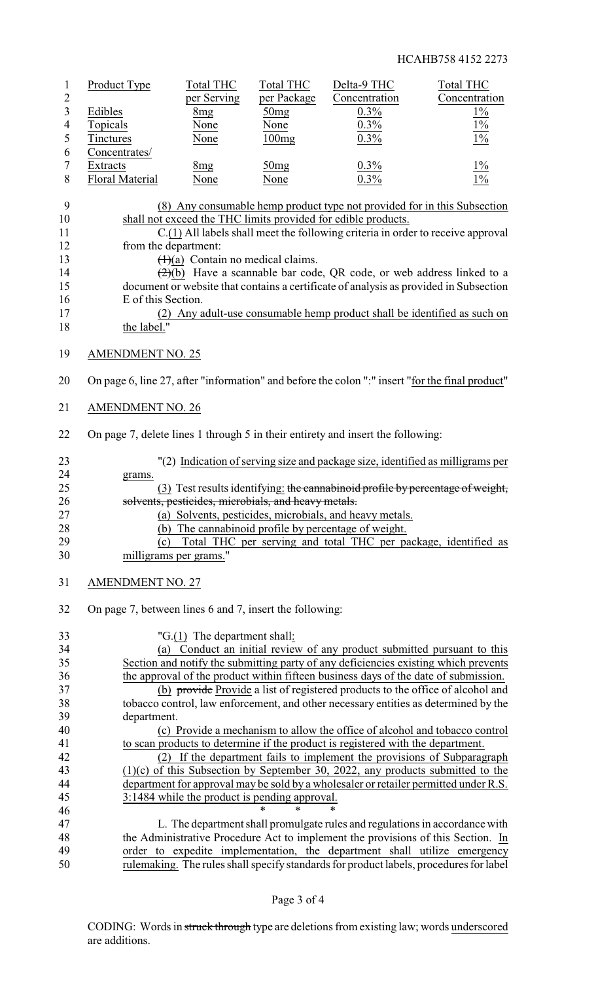|                | Product Type           | Total THC       | <b>Total THC</b> | Delta-9 THC   | Total THC     |
|----------------|------------------------|-----------------|------------------|---------------|---------------|
| $\overline{2}$ |                        | per Serving     | per Package      | Concentration | Concentration |
|                | Edibles                | 8 <sub>mg</sub> | 50mg             | $0.3\%$       | $1\%$         |
| $\overline{4}$ | Topicals               | None            | None             | 0.3%          | $1\%$         |
|                | Tinctures              | None            | 100mg            | 0.3%          | $1\%$         |
| 6              | Concentrates/          |                 |                  |               |               |
|                | Extracts               | 8mg             | 50mg             | $0.3\%$       | $1\%$         |
| 8              | <b>Floral Material</b> | None            | None             | 0.3%          | $1\%$         |

| - 9 | (8) Any consumable hemp product type not provided for in this Subsection                     |
|-----|----------------------------------------------------------------------------------------------|
| 10  | shall not exceed the THC limits provided for edible products.                                |
| 11  | C.(1) All labels shall meet the following criteria in order to receive approval              |
| 12  | from the department:                                                                         |
| 13  | $(1)(a)$ Contain no medical claims.                                                          |
| 14  | $\left(\frac{2}{2}\right)(b)$ Have a scannable bar code, QR code, or web address linked to a |
| 15  | document or website that contains a certificate of analysis as provided in Subsection        |
| 16  | E of this Section.                                                                           |
| 17  | (2) Any adult-use consumable hemp product shall be identified as such on                     |
|     |                                                                                              |

- 18 the label."
- AMENDMENT NO. 25
- On page 6, line 27, after "information" and before the colon ":" insert "for the final product"
- AMENDMENT NO. 26
- On page 7, delete lines 1 through 5 in their entirety and insert the following:

| 23 | "(2) Indication of serving size and package size, identified as milligrams per |
|----|--------------------------------------------------------------------------------|
| 24 | grams.                                                                         |
| 25 | (3) Test results identifying: the cannabinoid profile by percentage of weight, |
| 26 | solvents, pesticides, microbials, and heavy metals.                            |
| 27 | (a) Solvents, pesticides, microbials, and heavy metals.                        |
| 28 | (b) The cannabinoid profile by percentage of weight.                           |
| 29 | Total THC per serving and total THC per package, identified as                 |
| 30 | milligrams per grams."                                                         |

- AMENDMENT NO. 27
- On page 7, between lines 6 and 7, insert the following:

| 33 | " $G(1)$ The department shall:                                                         |
|----|----------------------------------------------------------------------------------------|
| 34 | Conduct an initial review of any product submitted pursuant to this<br>(a)             |
| 35 | Section and notify the submitting party of any deficiencies existing which prevents    |
| 36 | the approval of the product within fifteen business days of the date of submission.    |
| 37 | (b) provide Provide a list of registered products to the office of alcohol and         |
| 38 | tobacco control, law enforcement, and other necessary entities as determined by the    |
| 39 | department.                                                                            |
| 40 | (c) Provide a mechanism to allow the office of alcohol and tobacco control             |
| 41 | to scan products to determine if the product is registered with the department.        |
| 42 | (2) If the department fails to implement the provisions of Subparagraph                |
| 43 | $(1)(c)$ of this Subsection by September 30, 2022, any products submitted to the       |
| 44 | department for approval may be sold by a wholesaler or retailer permitted under R.S.   |
| 45 | 3:1484 while the product is pending approval.                                          |
| 46 | $\ast$<br>$\ast$                                                                       |
| 47 | L. The department shall promulgate rules and regulations in accordance with            |
| 48 | the Administrative Procedure Act to implement the provisions of this Section. In       |
| 49 | order to expedite implementation, the department shall utilize emergency               |
| 50 | rulemaking. The rules shall specify standards for product labels, procedures for label |
|    |                                                                                        |